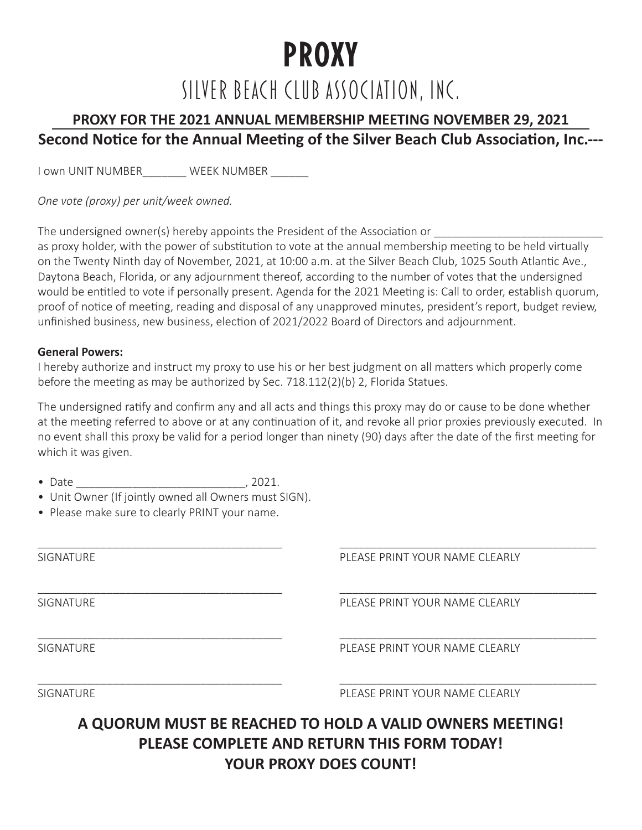# **PROXY**

### SILVER BEACH CLUB ASSOCIATION, INC.

### **PROXY FOR THE 2021 ANNUAL MEMBERSHIP MEETING NOVEMBER 29, 2021 Second Notice for the Annual Meeting of the Silver Beach Club Association, Inc.---**

I own UNIT NUMBER WEEK NUMBER \_\_\_\_\_\_

*One vote (proxy) per unit/week owned.* 

The undersigned owner(s) hereby appoints the President of the Association or

as proxy holder, with the power of substitution to vote at the annual membership meeting to be held virtually on the Twenty Ninth day of November, 2021, at 10:00 a.m. at the Silver Beach Club, 1025 South Atlantic Ave., Daytona Beach, Florida, or any adjournment thereof, according to the number of votes that the undersigned would be entitled to vote if personally present. Agenda for the 2021 Meeting is: Call to order, establish quorum, proof of notice of meeting, reading and disposal of any unapproved minutes, president's report, budget review, unfinished business, new business, election of 2021/2022 Board of Directors and adjournment.

#### **General Powers:**

I hereby authorize and instruct my proxy to use his or her best judgment on all matters which properly come before the meeting as may be authorized by Sec. 718.112(2)(b) 2, Florida Statues.

The undersigned ratify and confirm any and all acts and things this proxy may do or cause to be done whether at the meeting referred to above or at any continuation of it, and revoke all prior proxies previously executed. In no event shall this proxy be valid for a period longer than ninety (90) days after the date of the first meeting for which it was given.

| . . |  |  |  |  |
|-----|--|--|--|--|
|-----|--|--|--|--|

- Unit Owner (If jointly owned all Owners must SIGN).
- Please make sure to clearly PRINT your name.

| <b>SIGNATURE</b> | PLEASE PRINT YOUR NAME CLEARLY |
|------------------|--------------------------------|
| <b>SIGNATURE</b> | PLEASE PRINT YOUR NAME CLEARLY |
| <b>SIGNATURE</b> | PLEASE PRINT YOUR NAME CLEARLY |
| <b>SIGNATURE</b> | PLEASE PRINT YOUR NAME CLEARLY |

**A QUORUM MUST BE REACHED TO HOLD A VALID OWNERS MEETING! PLEASE COMPLETE AND RETURN THIS FORM TODAY! YOUR PROXY DOES COUNT!**